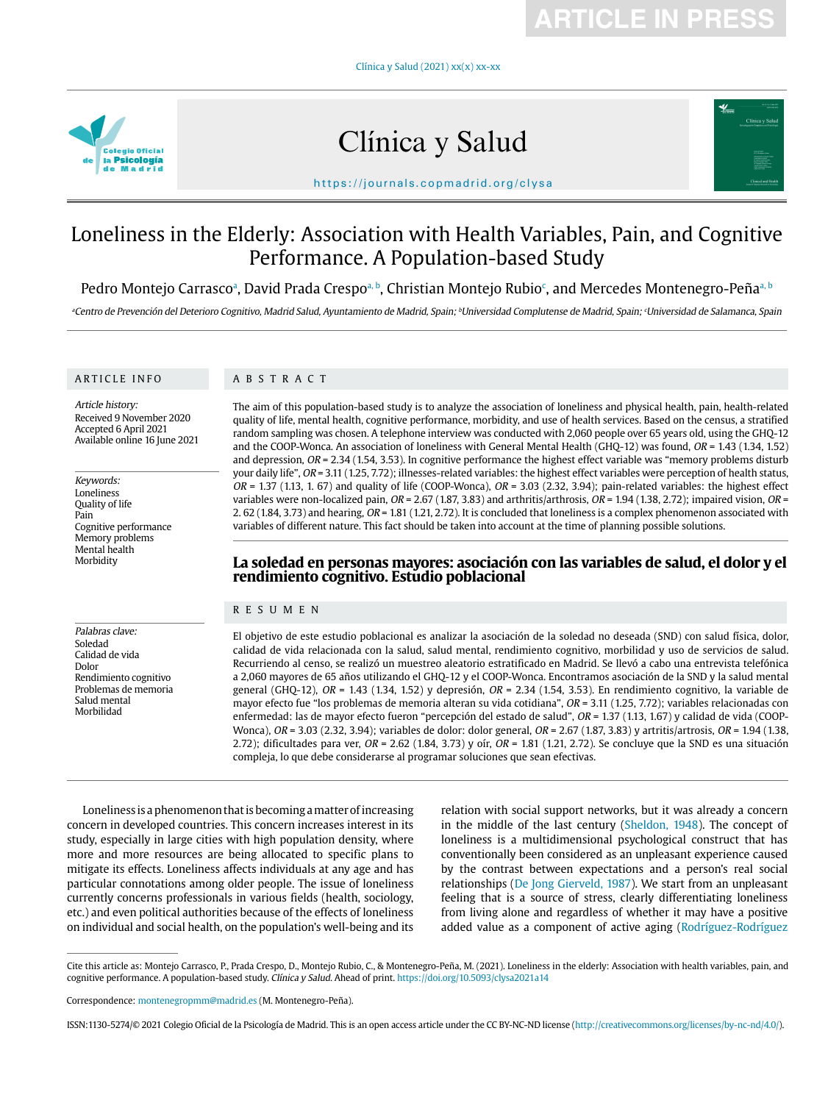**ARTICLE IN PRESS**

Clínica y Salud (2021) xx(x) xx-xx



# Clínica y Salud



https://journals.copmadrid.org/clysa

# Loneliness in the Elderly: Association with Health Variables, Pain, and Cognitive Performance. A Population-based Study

Pedro Montejo Carrascoª, David Prada Crespoª <sup>b</sup>, Christian Montejo Rubio<sup>c</sup>, and Mercedes Montenegro-Peñaª <sup>b</sup>

ªCentro de Prevención del Deterioro Cognitivo, Madrid Salud, Ayuntamiento de Madrid, Spain; <sup>∂</sup>Universidad complutense de Madrid, Spain; ʿUniversidad de Salamanca, Spain

### ARTICLE INFO

### ABSTRACT

Article history: Received 9 November 2020 Accepted 6 April 2021 Available online 16 June 2021

Keywords: Loneliness Quality of life Pain Cognitive performance Memory problems Mental health Morbidity

Palabras clave: Soledad Calidad de vida Dolor

Rendimiento cognitivo Problemas de memoria Salud mental Morbilidad

The aim of this population-based study is to analyze the association of loneliness and physical health, pain, health-related quality of life, mental health, cognitive performance, morbidity, and use of health services. Based on the census, a stratified random sampling was chosen. A telephone interview was conducted with 2,060 people over 65 years old, using the GHQ-12 and the COOP-Wonca. An association of loneliness with General Mental Health (GHQ-12) was found, OR = 1.43 (1.34, 1.52) and depression,  $OR = 2.34$  (1.54, 3.53). In cognitive performance the highest effect variable was "memory problems disturb your daily life", OR = 3.11 (1.25, 7.72); illnesses-related variables: the highest effect variables were perception of health status,  $OR = 1.37$  (1.13, 1. 67) and quality of life (COOP-Wonca),  $OR = 3.03$  (2.32, 3.94); pain-related variables: the highest effect variables were non-localized pain,  $OR = 2.67$  (1.87, 3.83) and arthritis/arthrosis,  $OR = 1.94$  (1.38, 2.72); impaired vision,  $OR =$ 2. 62 (1.84, 3.73) and hearing, OR = 1.81 (1.21, 2.72). It is concluded that loneliness is a complex phenomenon associated with variables of different nature. This fact should be taken into account at the time of planning possible solutions.

## **La soledad en personas mayores: asociación con las variables de salud, el dolor y el rendimiento cognitivo. Estudio poblacional**

### RESUMEN

El objetivo de este estudio poblacional es analizar la asociación de la soledad no deseada (SND) con salud física, dolor, calidad de vida relacionada con la salud, salud mental, rendimiento cognitivo, morbilidad y uso de servicios de salud. Recurriendo al censo, se realizó un muestreo aleatorio estratificado en Madrid. Se llevó a cabo una entrevista telefónica a 2,060 mayores de 65 años utilizando el GHQ-12 y el COOP-Wonca. Encontramos asociación de la SND y la salud mental general (GHQ-12),  $OR = 1.43$  (1.34, 1.52) y depresión,  $OR = 2.34$  (1.54, 3.53). En rendimiento cognitivo, la variable de mayor efecto fue "los problemas de memoria alteran su vida cotidiana", OR = 3.11 (1.25, 7.72); variables relacionadas con enfermedad: las de mayor efecto fueron "percepción del estado de salud", OR = 1.37 (1.13, 1.67) y calidad de vida (COOP-Wonca), OR = 3.03 (2.32, 3.94); variables de dolor: dolor general, OR = 2.67 (1.87, 3.83) y artritis/artrosis, OR = 1.94 (1.38, 2.72); dificultades para ver,  $OR = 2.62$  (1.84, 3.73) y oír,  $OR = 1.81$  (1.21, 2.72). Se concluye que la SND es una situación compleja, lo que debe considerarse al programar soluciones que sean efectivas.

Loneliness is a phenomenon that is becoming a matter of increasing concern in developed countries. This concern increases interest in its study, especially in large cities with high population density, where more and more resources are being allocated to specific plans to mitigate its effects. Loneliness affects individuals at any age and has particular connotations among older people. The issue of loneliness currently concerns professionals in various fields (health, sociology, etc.) and even political authorities because of the effects of loneliness on individual and social health, on the population's well-being and its

relation with social support networks, but it was already a concern in the middle of the last century (Sheldon, 1948). The concept of loneliness is a multidimensional psychological construct that has conventionally been considered as an unpleasant experience caused by the contrast between expectations and a person's real social relationships (De Jong Gierveld, 1987). We start from an unpleasant feeling that is a source of stress, clearly differentiating loneliness from living alone and regardless of whether it may have a positive added value as a component of active aging (Rodríguez-Rodríguez

Cite this article as: Montejo Carrasco, P., Prada Crespo, D., Montejo Rubio, C., & Montenegro-Peña, M. (2021). Loneliness in the elderly: Association with health variables, pain, and cognitive performance. A population-based study. Clínica y Salud. Ahead of print. https://doi.org/10.5093/clysa2021a14

Correspondence: montenegropmm@madrid.es (M. Montenegro-Peña).

ISSN:1130-5274/© 2021 Colegio Oficial de la Psicología de Madrid. This is an open access article under the CC BY-NC-ND license (http://creativecommons.org/licenses/by-nc-nd/4.0/).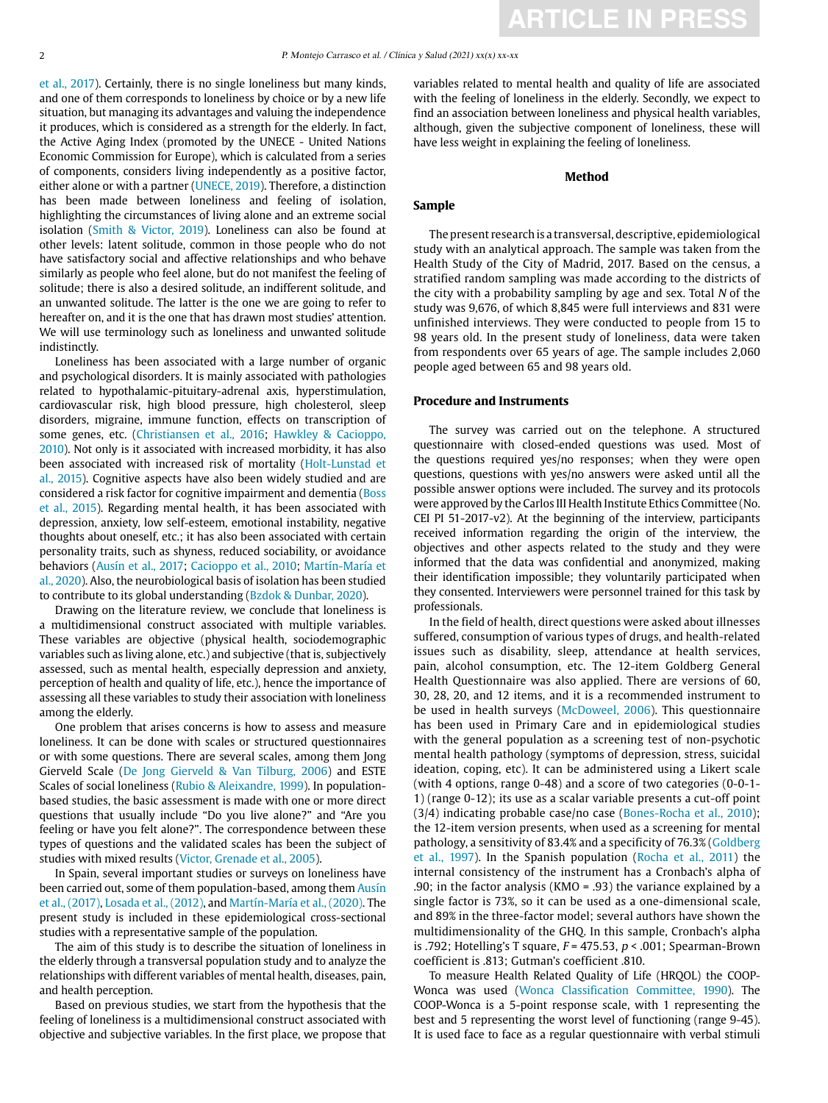et al., 2017). Certainly, there is no single loneliness but many kinds, and one of them corresponds to loneliness by choice or by a new life situation, but managing its advantages and valuing the independence it produces, which is considered as a strength for the elderly. In fact, the Active Aging Index (promoted by the UNECE - United Nations Economic Commission for Europe), which is calculated from a series of components, considers living independently as a positive factor, either alone or with a partner (UNECE, 2019). Therefore, a distinction has been made between loneliness and feeling of isolation, highlighting the circumstances of living alone and an extreme social isolation (Smith & Victor, 2019). Loneliness can also be found at other levels: latent solitude, common in those people who do not have satisfactory social and affective relationships and who behave similarly as people who feel alone, but do not manifest the feeling of solitude; there is also a desired solitude, an indifferent solitude, and an unwanted solitude. The latter is the one we are going to refer to hereafter on, and it is the one that has drawn most studies' attention. We will use terminology such as loneliness and unwanted solitude indistinctly.

Loneliness has been associated with a large number of organic and psychological disorders. It is mainly associated with pathologies related to hypothalamic-pituitary-adrenal axis, hyperstimulation, cardiovascular risk, high blood pressure, high cholesterol, sleep disorders, migraine, immune function, effects on transcription of some genes, etc. (Christiansen et al., 2016; Hawkley & Cacioppo, 2010). Not only is it associated with increased morbidity, it has also been associated with increased risk of mortality (Holt-Lunstad et al., 2015). Cognitive aspects have also been widely studied and are considered a risk factor for cognitive impairment and dementia (Boss et al., 2015). Regarding mental health, it has been associated with depression, anxiety, low self-esteem, emotional instability, negative thoughts about oneself, etc.; it has also been associated with certain personality traits, such as shyness, reduced sociability, or avoidance behaviors (Ausín et al., 2017; Cacioppo et al., 2010; Martín-María et al., 2020). Also, the neurobiological basis of isolation has been studied to contribute to its global understanding (Bzdok & Dunbar, 2020).

Drawing on the literature review, we conclude that loneliness is a multidimensional construct associated with multiple variables. These variables are objective (physical health, sociodemographic variables such as living alone, etc.) and subjective (that is, subjectively assessed, such as mental health, especially depression and anxiety, perception of health and quality of life, etc.), hence the importance of assessing all these variables to study their association with loneliness among the elderly.

One problem that arises concerns is how to assess and measure loneliness. It can be done with scales or structured questionnaires or with some questions. There are several scales, among them Jong Gierveld Scale (De Jong Gierveld & Van Tilburg, 2006) and ESTE Scales of social loneliness (Rubio & Aleixandre, 1999). In populationbased studies, the basic assessment is made with one or more direct questions that usually include "Do you live alone?" and "Are you feeling or have you felt alone?". The correspondence between these types of questions and the validated scales has been the subject of studies with mixed results (Victor, Grenade et al., 2005).

In Spain, several important studies or surveys on loneliness have been carried out, some of them population-based, among them Ausín et al., (2017), Losada et al., (2012), and Martín-María et al., (2020). The present study is included in these epidemiological cross-sectional studies with a representative sample of the population.

The aim of this study is to describe the situation of loneliness in the elderly through a transversal population study and to analyze the relationships with different variables of mental health, diseases, pain, and health perception.

Based on previous studies, we start from the hypothesis that the feeling of loneliness is a multidimensional construct associated with objective and subjective variables. In the first place, we propose that variables related to mental health and quality of life are associated with the feeling of loneliness in the elderly. Secondly, we expect to find an association between loneliness and physical health variables, although, given the subjective component of loneliness, these will have less weight in explaining the feeling of loneliness.

### **Method**

### **Sample**

The present research is a transversal, descriptive, epidemiological study with an analytical approach. The sample was taken from the Health Study of the City of Madrid, 2017. Based on the census, a stratified random sampling was made according to the districts of the city with a probability sampling by age and sex. Total N of the study was 9,676, of which 8,845 were full interviews and 831 were unfinished interviews. They were conducted to people from 15 to 98 years old. In the present study of loneliness, data were taken from respondents over 65 years of age. The sample includes 2,060 people aged between 65 and 98 years old.

### **Procedure and Instruments**

The survey was carried out on the telephone. A structured questionnaire with closed-ended questions was used. Most of the questions required yes/no responses; when they were open questions, questions with yes/no answers were asked until all the possible answer options were included. The survey and its protocols were approved by the Carlos III Health Institute Ethics Committee (No. CEI PI 51-2017-v2). At the beginning of the interview, participants received information regarding the origin of the interview, the objectives and other aspects related to the study and they were informed that the data was confidential and anonymized, making their identification impossible; they voluntarily participated when they consented. Interviewers were personnel trained for this task by professionals.

In the field of health, direct questions were asked about illnesses suffered, consumption of various types of drugs, and health-related issues such as disability, sleep, attendance at health services, pain, alcohol consumption, etc. The 12-item Goldberg General Health Questionnaire was also applied. There are versions of 60, 30, 28, 20, and 12 items, and it is a recommended instrument to be used in health surveys (McDoweel, 2006). This questionnaire has been used in Primary Care and in epidemiological studies with the general population as a screening test of non-psychotic mental health pathology (symptoms of depression, stress, suicidal ideation, coping, etc). It can be administered using a Likert scale (with 4 options, range 0-48) and a score of two categories (0-0-1- 1) (range 0-12); its use as a scalar variable presents a cut-off point (3/4) indicating probable case/no case (Bones-Rocha et al., 2010); the 12-item version presents, when used as a screening for mental pathology, a sensitivity of 83.4% and a specificity of 76.3% (Goldberg et al., 1997). In the Spanish population (Rocha et al., 2011) the internal consistency of the instrument has a Cronbach's alpha of .90; in the factor analysis (KMO = .93) the variance explained by a single factor is 73%, so it can be used as a one-dimensional scale, and 89% in the three-factor model; several authors have shown the multidimensionality of the GHQ. In this sample, Cronbach's alpha is .792; Hotelling's T square,  $F = 475.53$ ,  $p < .001$ ; Spearman-Brown coefficient is .813; Gutman's coefficient .810.

To measure Health Related Quality of Life (HRQOL) the COOP-Wonca was used (Wonca Classification Committee, 1990). The COOP-Wonca is a 5-point response scale, with 1 representing the best and 5 representing the worst level of functioning (range 9-45). It is used face to face as a regular questionnaire with verbal stimuli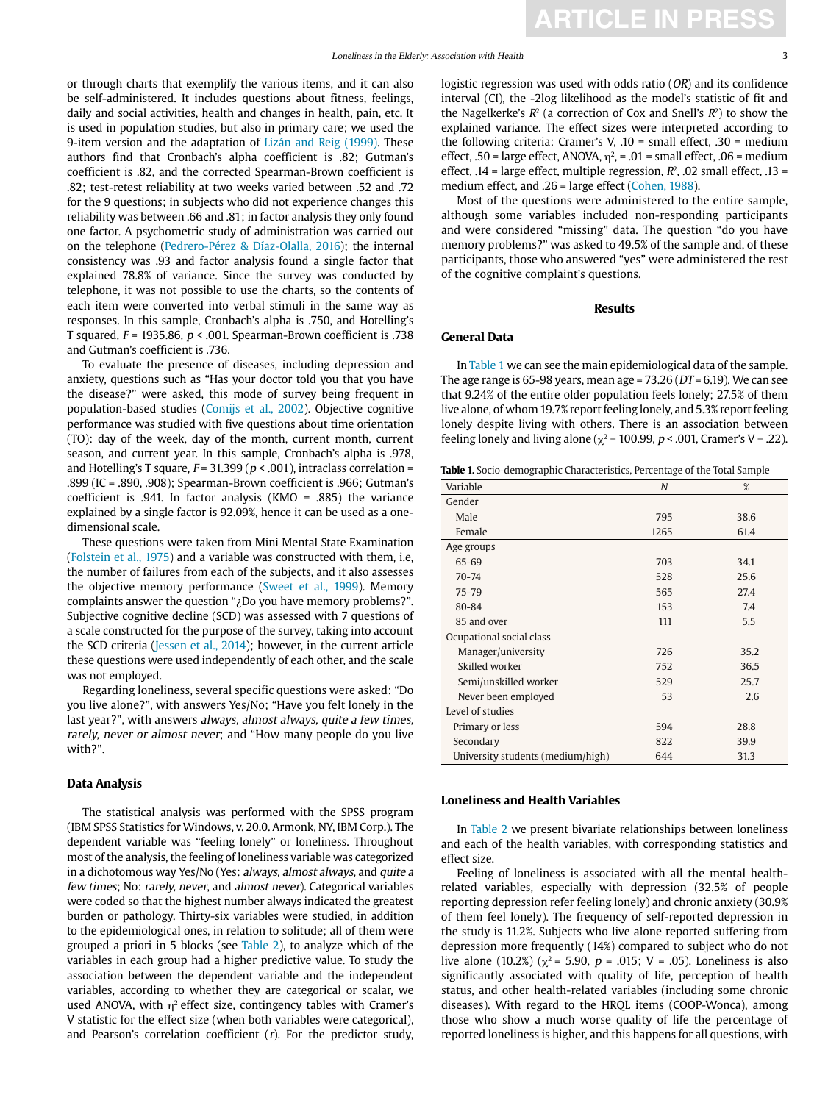or through charts that exemplify the various items, and it can also be self-administered. It includes questions about fitness, feelings, daily and social activities, health and changes in health, pain, etc. It is used in population studies, but also in primary care; we used the 9-item version and the adaptation of Lizán and Reig (1999). These authors find that Cronbach's alpha coefficient is .82; Gutman's coefficient is .82, and the corrected Spearman-Brown coefficient is .82; test-retest reliability at two weeks varied between .52 and .72 for the 9 questions; in subjects who did not experience changes this reliability was between .66 and .81; in factor analysis they only found one factor. A psychometric study of administration was carried out on the telephone (Pedrero-Pérez & Díaz-Olalla, 2016); the internal consistency was .93 and factor analysis found a single factor that explained 78.8% of variance. Since the survey was conducted by telephone, it was not possible to use the charts, so the contents of each item were converted into verbal stimuli in the same way as responses. In this sample, Cronbach's alpha is .750, and Hotelling's T squared,  $F = 1935.86$ ,  $p < .001$ . Spearman-Brown coefficient is .738 and Gutman's coefficient is .736.

To evaluate the presence of diseases, including depression and anxiety, questions such as "Has your doctor told you that you have the disease?" were asked, this mode of survey being frequent in population-based studies (Comijs et al., 2002). Objective cognitive performance was studied with five questions about time orientation (TO): day of the week, day of the month, current month, current season, and current year. In this sample, Cronbach's alpha is .978, and Hotelling's T square,  $F = 31.399 (p < .001)$ , intraclass correlation = .899 (IC = .890, .908); Spearman-Brown coefficient is .966; Gutman's coefficient is .941. In factor analysis (KMO = .885) the variance explained by a single factor is 92.09%, hence it can be used as a onedimensional scale.

These questions were taken from Mini Mental State Examination (Folstein et al., 1975) and a variable was constructed with them, i.e, the number of failures from each of the subjects, and it also assesses the objective memory performance (Sweet et al., 1999). Memory complaints answer the question "¿Do you have memory problems?". Subjective cognitive decline (SCD) was assessed with 7 questions of a scale constructed for the purpose of the survey, taking into account the SCD criteria (Jessen et al., 2014); however, in the current article these questions were used independently of each other, and the scale was not employed.

Regarding loneliness, several specific questions were asked: "Do you live alone?", with answers Yes/No; "Have you felt lonely in the last year?", with answers always, almost always, quite a few times, rarely, never or almost never; and "How many people do you live with?".

### **Data Analysis**

The statistical analysis was performed with the SPSS program (IBM SPSS Statistics for Windows, v. 20.0. Armonk, NY, IBM Corp.). The dependent variable was "feeling lonely" or loneliness. Throughout most of the analysis, the feeling of loneliness variable was categorized in a dichotomous way Yes/No (Yes: always, almost always, and quite a few times; No: rarely, never, and almost never). Categorical variables were coded so that the highest number always indicated the greatest burden or pathology. Thirty-six variables were studied, in addition to the epidemiological ones, in relation to solitude; all of them were grouped a priori in 5 blocks (see Table 2), to analyze which of the variables in each group had a higher predictive value. To study the association between the dependent variable and the independent variables, according to whether they are categorical or scalar, we used ANOVA, with  $\eta^2$  effect size, contingency tables with Cramer's V statistic for the effect size (when both variables were categorical), and Pearson's correlation coefficient  $(r)$ . For the predictor study,

logistic regression was used with odds ratio (OR) and its confidence interval (CI), the -2log likelihood as the model's statistic of fit and the Nagelkerke's  $R^2$  (a correction of Cox and Snell's  $R^2$ ) to show the explained variance. The effect sizes were interpreted according to the following criteria: Cramer's V, .10 = small effect, .30 = medium effect, .50 = large effect, ANOVA,  $\eta^2$ , = .01 = small effect, .06 = medium effect, .14 = large effect, multiple regression,  $R^2$ , .02 small effect, .13 = medium effect, and .26 = large effect (Cohen, 1988).

Most of the questions were administered to the entire sample, although some variables included non-responding participants and were considered "missing" data. The question "do you have memory problems?" was asked to 49.5% of the sample and, of these participants, those who answered "yes" were administered the rest of the cognitive complaint's questions.

### **Results**

### **General Data**

In Table 1 we can see the main epidemiological data of the sample. The age range is 65-98 years, mean age =  $73.26$  ( $DT = 6.19$ ). We can see that 9.24% of the entire older population feels lonely; 27.5% of them live alone, of whom 19.7% report feeling lonely, and 5.3% report feeling lonely despite living with others. There is an association between feeling lonely and living alone ( $\chi^2$  = 100.99, p < .001, Cramer's V = .22).

|  |  | <b>Table 1.</b> Socio-demographic Characteristics, Percentage of the Total Sample |
|--|--|-----------------------------------------------------------------------------------|
|  |  |                                                                                   |

| Variable                          | $\boldsymbol{N}$ | %    |
|-----------------------------------|------------------|------|
| Gender                            |                  |      |
| Male                              | 795              | 38.6 |
| Female                            | 1265             | 61.4 |
| Age groups                        |                  |      |
| 65-69                             | 703              | 34.1 |
| $70 - 74$                         | 528              | 25.6 |
| 75-79                             | 565              | 27.4 |
| 80-84                             | 153              | 7.4  |
| 85 and over                       | 111              | 5.5  |
| Ocupational social class          |                  |      |
| Manager/university                | 726              | 35.2 |
| Skilled worker                    | 752              | 36.5 |
| Semi/unskilled worker             | 529              | 25.7 |
| Never been employed               | 53               | 2.6  |
| Level of studies                  |                  |      |
| Primary or less                   | 594              | 28.8 |
| Secondary                         | 822              | 39.9 |
| University students (medium/high) | 644              | 31.3 |

#### **Loneliness and Health Variables**

In Table 2 we present bivariate relationships between loneliness and each of the health variables, with corresponding statistics and effect size.

Feeling of loneliness is associated with all the mental healthrelated variables, especially with depression (32.5% of people reporting depression refer feeling lonely) and chronic anxiety (30.9% of them feel lonely). The frequency of self-reported depression in the study is 11.2%. Subjects who live alone reported suffering from depression more frequently (14%) compared to subject who do not live alone (10.2%) ( $\chi^2$  = 5.90, p = .015; V = .05). Loneliness is also significantly associated with quality of life, perception of health status, and other health-related variables (including some chronic diseases). With regard to the HRQL items (COOP-Wonca), among those who show a much worse quality of life the percentage of reported loneliness is higher, and this happens for all questions, with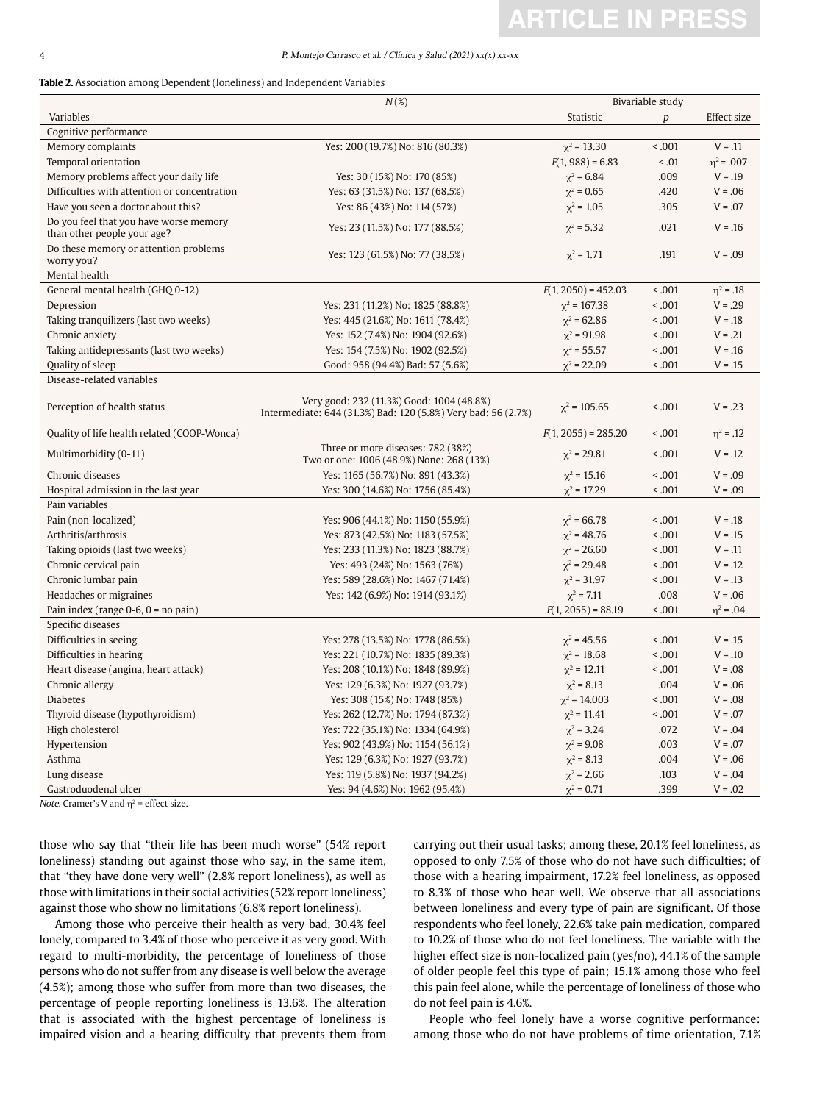# **ARTICLE IN PRESS**

#### 4 P. Montejo Carrasco et al. / Clínica y Salud (2021) xx(x) xx-xx

| <b>Table 2.</b> Association among Dependent (loneliness) and Independent Variables |  |  |  |
|------------------------------------------------------------------------------------|--|--|--|
|------------------------------------------------------------------------------------|--|--|--|

|                                                                       | $N(\mathcal{X})$<br>Bivariable study                                                                       |                       |                  |                |
|-----------------------------------------------------------------------|------------------------------------------------------------------------------------------------------------|-----------------------|------------------|----------------|
| Variables                                                             |                                                                                                            | Statistic             | $\boldsymbol{p}$ | Effect size    |
| Cognitive performance                                                 |                                                                                                            |                       |                  |                |
| Memory complaints                                                     | Yes: 200 (19.7%) No: 816 (80.3%)                                                                           | $\chi^2$ = 13.30      | < .001           | $V = .11$      |
| Temporal orientation                                                  |                                                                                                            | $F(1, 988) = 6.83$    | < .01            | $n^2$ = .007   |
| Memory problems affect your daily life                                | Yes: 30 (15%) No: 170 (85%)                                                                                | $\chi^2$ = 6.84       | .009             | $V = .19$      |
| Difficulties with attention or concentration                          | Yes: 63 (31.5%) No: 137 (68.5%)                                                                            | $\chi^2 = 0.65$       | .420             | $V = .06$      |
| Have you seen a doctor about this?                                    | Yes: 86 (43%) No: 114 (57%)                                                                                | $\chi^2$ = 1.05       | .305             | $V = .07$      |
| Do you feel that you have worse memory<br>than other people your age? | Yes: 23 (11.5%) No: 177 (88.5%)                                                                            | $\chi^2$ = 5.32       | .021             | $V = .16$      |
| Do these memory or attention problems<br>worry you?                   | Yes: 123 (61.5%) No: 77 (38.5%)                                                                            | $\chi^2$ = 1.71       | .191             | $V = .09$      |
| Mental health                                                         |                                                                                                            |                       |                  |                |
| General mental health (GHQ 0-12)                                      |                                                                                                            | $F(1, 2050) = 452.03$ | < 0.001          | $\eta^2 = .18$ |
| Depression                                                            | Yes: 231 (11.2%) No: 1825 (88.8%)                                                                          | $\chi^2$ = 167.38     | < .001           | $V = .29$      |
| Taking tranquilizers (last two weeks)                                 | Yes: 445 (21.6%) No: 1611 (78.4%)                                                                          | $\gamma^2$ = 62.86    | < .001           | $V = .18$      |
| Chronic anxiety                                                       | Yes: 152 (7.4%) No: 1904 (92.6%)                                                                           | $\chi^2 = 91.98$      | < .001           | $V = .21$      |
| Taking antidepressants (last two weeks)                               | Yes: 154 (7.5%) No: 1902 (92.5%)                                                                           | $\chi^2$ = 55.57      | < .001           | $V = .16$      |
| Quality of sleep                                                      | Good: 958 (94.4%) Bad: 57 (5.6%)                                                                           | $\chi^2 = 22.09$      | < .001           | $V = .15$      |
| Disease-related variables                                             |                                                                                                            |                       |                  |                |
| Perception of health status                                           | Very good: 232 (11.3%) Good: 1004 (48.8%)<br>Intermediate: 644 (31.3%) Bad: 120 (5.8%) Very bad: 56 (2.7%) | $\gamma^2$ = 105.65   | < 0.001          | $V = .23$      |
| Quality of life health related (COOP-Wonca)                           |                                                                                                            | $F(1, 2055) = 285.20$ | < 0.001          | $\eta^2 = .12$ |
| Multimorbidity (0-11)                                                 | Three or more diseases: 782 (38%)<br>Two or one: 1006 (48.9%) None: 268 (13%)                              | $\chi^2$ = 29.81      | < .001           | $V = .12$      |
| Chronic diseases                                                      | Yes: 1165 (56.7%) No: 891 (43.3%)                                                                          | $\chi^2$ = 15.16      | < .001           | $V = .09$      |
| Hospital admission in the last year                                   | Yes: 300 (14.6%) No: 1756 (85.4%)                                                                          | $\chi^2$ = 17.29      | < .001           | $V = .09$      |
| Pain variables                                                        |                                                                                                            |                       |                  |                |
| Pain (non-localized)                                                  | Yes: 906 (44.1%) No: 1150 (55.9%)                                                                          | $\chi^2$ = 66.78      | < 0.001          | $V = .18$      |
| Arthritis/arthrosis                                                   | Yes: 873 (42.5%) No: 1183 (57.5%)                                                                          | $\chi^2$ = 48.76      | < .001           | $V = .15$      |
| Taking opioids (last two weeks)                                       | Yes: 233 (11.3%) No: 1823 (88.7%)                                                                          | $\chi^2$ = 26.60      | < .001           | $V = .11$      |
| Chronic cervical pain                                                 | Yes: 493 (24%) No: 1563 (76%)                                                                              | $\chi^2$ = 29.48      | < .001           | $V = .12$      |
| Chronic lumbar pain                                                   | Yes: 589 (28.6%) No: 1467 (71.4%)                                                                          | $\chi^2$ = 31.97      | < .001           | $V = .13$      |
| Headaches or migraines                                                | Yes: 142 (6.9%) No: 1914 (93.1%)                                                                           | $\chi^2$ = 7.11       | .008             | $V = .06$      |
| Pain index (range $0-6$ , $0 =$ no pain)                              |                                                                                                            | $F(1, 2055) = 88.19$  | < 0.001          | $\eta^2 = .04$ |
| Specific diseases                                                     |                                                                                                            |                       |                  |                |
| Difficulties in seeing                                                | Yes: 278 (13.5%) No: 1778 (86.5%)                                                                          | $\chi^2$ = 45.56      | < 0.001          | $V = .15$      |
| Difficulties in hearing                                               | Yes: 221 (10.7%) No: 1835 (89.3%)                                                                          | $\chi^2$ = 18.68      | < .001           | $V = .10$      |
| Heart disease (angina, heart attack)                                  | Yes: 208 (10.1%) No: 1848 (89.9%)                                                                          | $\chi^2$ = 12.11      | < .001           | $V = .08$      |
| Chronic allergy                                                       | Yes: 129 (6.3%) No: 1927 (93.7%)                                                                           | $\chi^2 = 8.13$       | .004             | $V = .06$      |
| <b>Diabetes</b>                                                       | Yes: 308 (15%) No: 1748 (85%)                                                                              | $\chi^2$ = 14.003     | < .001           | $V = .08$      |
| Thyroid disease (hypothyroidism)                                      | Yes: 262 (12.7%) No: 1794 (87.3%)                                                                          | $\chi^2$ = 11.41      | < .001           | $V = .07$      |
| High cholesterol                                                      | Yes: 722 (35.1%) No: 1334 (64.9%)                                                                          | $\chi^2$ = 3.24       | .072             | $V = .04$      |
| Hypertension                                                          | Yes: 902 (43.9%) No: 1154 (56.1%)                                                                          | $\chi^2 = 9.08$       | .003             | $V = .07$      |
| Asthma                                                                | Yes: 129 (6.3%) No: 1927 (93.7%)                                                                           | $\chi^2 = 8.13$       | .004             | $V = .06$      |
| Lung disease                                                          | Yes: 119 (5.8%) No: 1937 (94.2%)                                                                           | $\chi^2$ = 2.66       | .103             | $V = .04$      |
| Gastroduodenal ulcer                                                  | Yes: 94 (4.6%) No: 1962 (95.4%)                                                                            | $\chi^2 = 0.71$       | .399             | $V = .02$      |

Note. Cramer's V and  $\eta^2$  = effect size.

those who say that "their life has been much worse" (54% report loneliness) standing out against those who say, in the same item, that "they have done very well" (2.8% report loneliness), as well as those with limitations in their social activities (52% report loneliness) against those who show no limitations (6.8% report loneliness).

Among those who perceive their health as very bad, 30.4% feel lonely, compared to 3.4% of those who perceive it as very good. With regard to multi-morbidity, the percentage of loneliness of those persons who do not suffer from any disease is well below the average (4.5%); among those who suffer from more than two diseases, the percentage of people reporting loneliness is 13.6%. The alteration that is associated with the highest percentage of loneliness is impaired vision and a hearing difficulty that prevents them from carrying out their usual tasks; among these, 20.1% feel loneliness, as opposed to only 7.5% of those who do not have such difficulties; of those with a hearing impairment, 17.2% feel loneliness, as opposed to 8.3% of those who hear well. We observe that all associations between loneliness and every type of pain are significant. Of those respondents who feel lonely, 22.6% take pain medication, compared to 10.2% of those who do not feel loneliness. The variable with the higher effect size is non-localized pain (yes/no), 44.1% of the sample of older people feel this type of pain; 15.1% among those who feel this pain feel alone, while the percentage of loneliness of those who do not feel pain is 4.6%.

People who feel lonely have a worse cognitive performance: among those who do not have problems of time orientation, 7.1%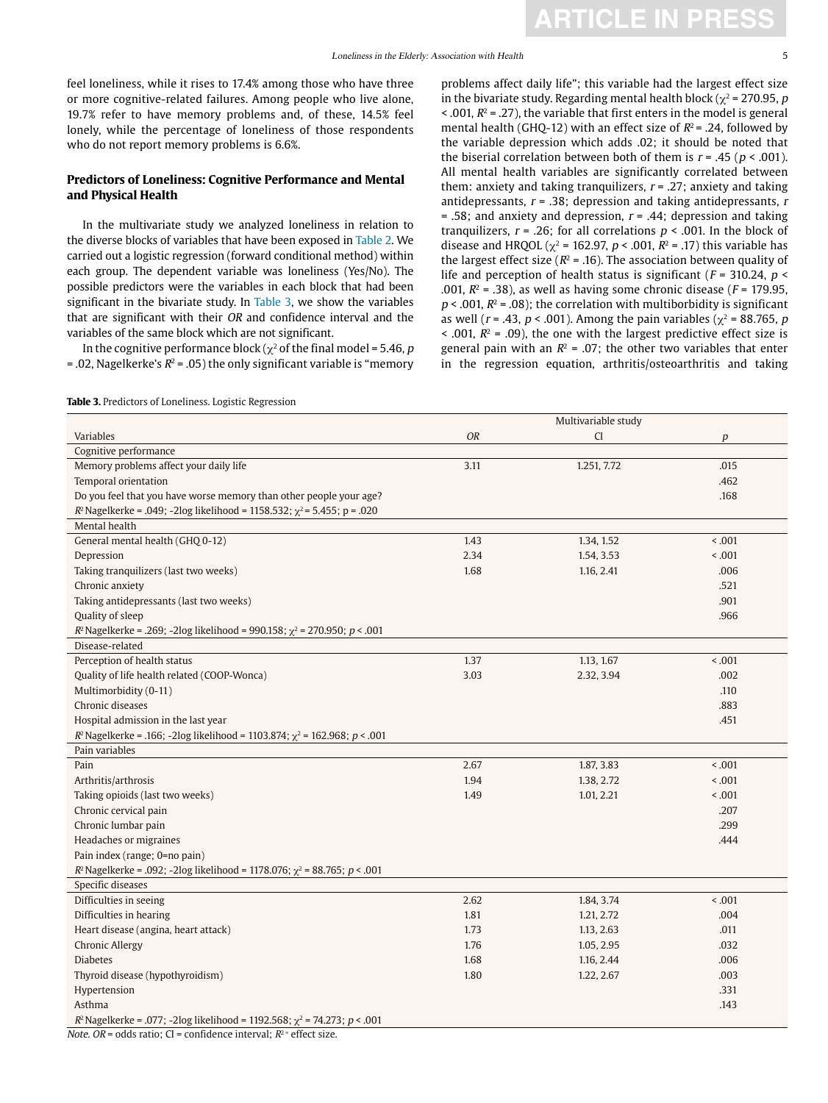feel loneliness, while it rises to 17.4% among those who have three or more cognitive-related failures. Among people who live alone, 19.7% refer to have memory problems and, of these, 14.5% feel lonely, while the percentage of loneliness of those respondents who do not report memory problems is 6.6%.

### **Predictors of Loneliness: Cognitive Performance and Mental and Physical Health**

In the multivariate study we analyzed loneliness in relation to the diverse blocks of variables that have been exposed in Table 2. We carried out a logistic regression (forward conditional method) within each group. The dependent variable was loneliness (Yes/No). The possible predictors were the variables in each block that had been significant in the bivariate study. In Table 3, we show the variables that are significant with their OR and confidence interval and the variables of the same block which are not significant.

In the cognitive performance block ( $\chi^2$  of the final model = 5.46, p  $=$ .02, Nagelkerke's  $R^2 = .05$ ) the only significant variable is "memory

problems affect daily life"; this variable had the largest effect size in the bivariate study. Regarding mental health block ( $\gamma^2$  = 270.95, p  $\leq$  001,  $R^2$  = 0.27), the variable that first enters in the model is general mental health (GHQ-12) with an effect size of  $R^2$  = .24, followed by the variable depression which adds .02; it should be noted that the biserial correlation between both of them is  $r = .45$  ( $p < .001$ ). All mental health variables are significantly correlated between them: anxiety and taking tranquilizers,  $r = .27$ ; anxiety and taking antidepressants,  $r = .38$ ; depression and taking antidepressants,  $r = .38$  $= .58$ ; and anxiety and depression,  $r = .44$ ; depression and taking tranquilizers,  $r = .26$ ; for all correlations  $p < .001$ . In the block of disease and HRQOL ( $\chi^2$  = 162.97, p < .001, R<sup>2</sup> = .17) this variable has the largest effect size ( $R^2$  = .16). The association between quality of life and perception of health status is significant ( $F = 310.24$ ,  $p <$ .001,  $R^2$  = .38), as well as having some chronic disease ( $F = 179.95$ ,  $p < .001$ ,  $R^2 = .08$ ); the correlation with multiborbidity is significant as well ( $r = .43$ ,  $p < .001$ ). Among the pain variables ( $\chi^2 = 88.765$ , p  $\leq$  .001,  $R^2$  = .09), the one with the largest predictive effect size is general pain with an  $R^2 = .07$ ; the other two variables that enter in the regression equation, arthritis/osteoarthritis and taking

**Table 3.** Predictors of Loneliness. Logistic Regression

|                                                                                                                                                              |      | Multivariable study |         |
|--------------------------------------------------------------------------------------------------------------------------------------------------------------|------|---------------------|---------|
| Variables                                                                                                                                                    | OR   | CI                  | р       |
| Cognitive performance                                                                                                                                        |      |                     |         |
| Memory problems affect your daily life                                                                                                                       | 3.11 | 1.251, 7.72         | .015    |
| Temporal orientation                                                                                                                                         |      |                     | .462    |
| Do you feel that you have worse memory than other people your age?                                                                                           |      |                     | .168    |
| $R^2$ Nagelkerke = .049; -2log likelihood = 1158.532; $\chi^2$ = 5.455; p = .020                                                                             |      |                     |         |
| Mental health                                                                                                                                                |      |                     |         |
| General mental health (GHQ 0-12)                                                                                                                             | 1.43 | 1.34, 1.52          | < 0.001 |
| Depression                                                                                                                                                   | 2.34 | 1.54, 3.53          | < 0.001 |
| Taking tranquilizers (last two weeks)                                                                                                                        | 1.68 | 1.16, 2.41          | .006    |
| Chronic anxiety                                                                                                                                              |      |                     | .521    |
| Taking antidepressants (last two weeks)                                                                                                                      |      |                     | .901    |
| Quality of sleep                                                                                                                                             |      |                     | .966    |
| $R^2$ Nagelkerke = .269; -2log likelihood = 990.158; $\chi^2$ = 270.950; p < .001                                                                            |      |                     |         |
| Disease-related                                                                                                                                              |      |                     |         |
| Perception of health status                                                                                                                                  | 1.37 | 1.13, 1.67          | < 0.001 |
| Quality of life health related (COOP-Wonca)                                                                                                                  | 3.03 | 2.32, 3.94          | .002    |
| Multimorbidity (0-11)                                                                                                                                        |      |                     | .110    |
| Chronic diseases                                                                                                                                             |      |                     | .883    |
| Hospital admission in the last year                                                                                                                          |      |                     | .451    |
| $R^2$ Nagelkerke = .166; -2log likelihood = 1103.874; $\chi^2$ = 162.968; p < .001                                                                           |      |                     |         |
| Pain variables                                                                                                                                               |      |                     |         |
| Pain                                                                                                                                                         | 2.67 | 1.87, 3.83          | < 0.001 |
| Arthritis/arthrosis                                                                                                                                          | 1.94 | 1.38, 2.72          | < 0.001 |
| Taking opioids (last two weeks)                                                                                                                              | 1.49 | 1.01, 2.21          | < 0.001 |
| Chronic cervical pain                                                                                                                                        |      |                     | .207    |
| Chronic lumbar pain                                                                                                                                          |      |                     | .299    |
| Headaches or migraines                                                                                                                                       |      |                     | .444    |
| Pain index (range; 0=no pain)                                                                                                                                |      |                     |         |
| $R^2$ Nagelkerke = .092; -2log likelihood = 1178.076; $\chi^2$ = 88.765; $p < .001$                                                                          |      |                     |         |
| Specific diseases                                                                                                                                            |      |                     |         |
| Difficulties in seeing                                                                                                                                       | 2.62 | 1.84, 3.74          | < 0.001 |
| Difficulties in hearing                                                                                                                                      | 1.81 | 1.21, 2.72          | .004    |
| Heart disease (angina, heart attack)                                                                                                                         | 1.73 | 1.13, 2.63          | .011    |
| <b>Chronic Allergy</b>                                                                                                                                       | 1.76 | 1.05, 2.95          | .032    |
| <b>Diabetes</b>                                                                                                                                              | 1.68 | 1.16, 2.44          | .006    |
| Thyroid disease (hypothyroidism)                                                                                                                             | 1.80 | 1.22, 2.67          | .003    |
| Hypertension                                                                                                                                                 |      |                     | .331    |
| Asthma                                                                                                                                                       |      |                     | .143    |
| $R^2$ Nagelkerke = .077; -2log likelihood = 1192.568; $\chi^2$ = 74.273; p < .001<br>Note $OP -$ adds ustice $CI -$ confidence intervals $D^2 =$ effect size |      |                     |         |

*Note. OR* = odds ratio; CI = confidence interval;  $R^2$  = effect size.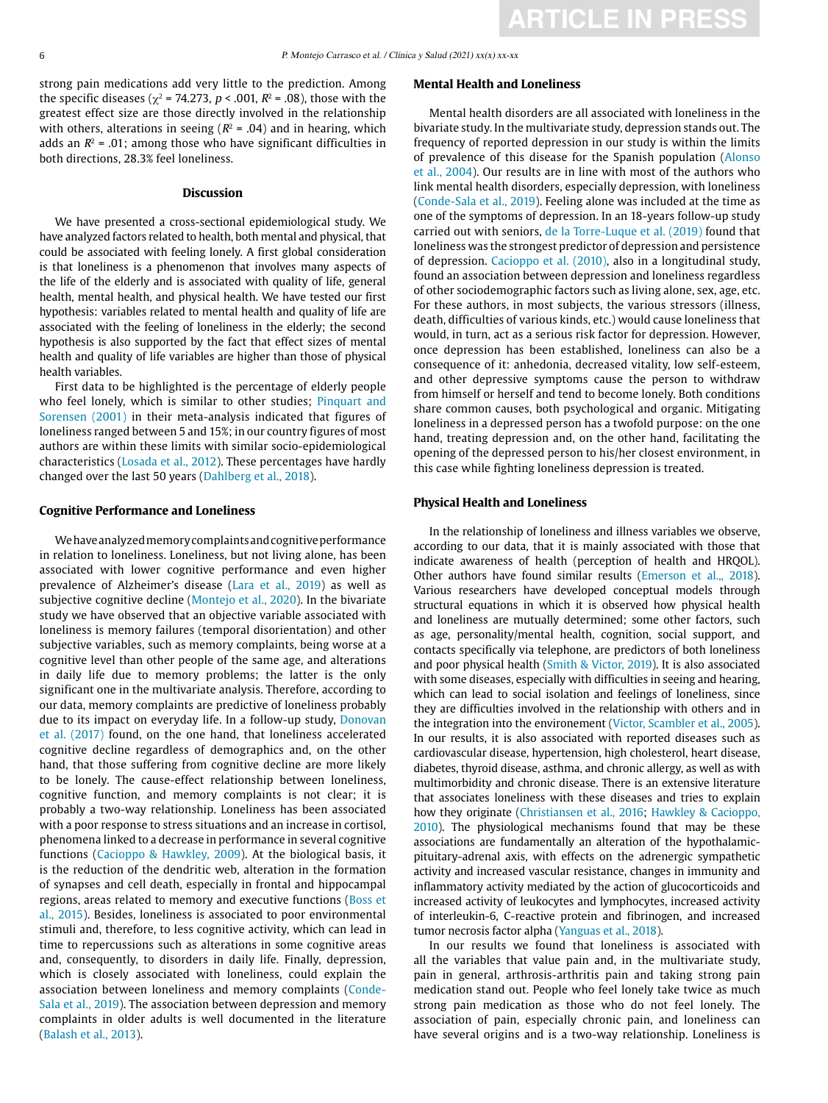strong pain medications add very little to the prediction. Among the specific diseases ( $\chi^2$  = 74.273, p < .001,  $R^2$  = .08), those with the greatest effect size are those directly involved in the relationship with others, alterations in seeing ( $R^2$  = .04) and in hearing, which adds an  $R^2$  = .01: among those who have significant difficulties in both directions, 28.3% feel loneliness.

### **Discussion**

We have presented a cross-sectional epidemiological study. We have analyzed factors related to health, both mental and physical, that could be associated with feeling lonely. A first global consideration is that loneliness is a phenomenon that involves many aspects of the life of the elderly and is associated with quality of life, general health, mental health, and physical health. We have tested our first hypothesis: variables related to mental health and quality of life are associated with the feeling of loneliness in the elderly; the second hypothesis is also supported by the fact that effect sizes of mental health and quality of life variables are higher than those of physical health variables.

First data to be highlighted is the percentage of elderly people who feel lonely, which is similar to other studies; Pinquart and Sorensen (2001) in their meta-analysis indicated that figures of loneliness ranged between 5 and 15%; in our country figures of most authors are within these limits with similar socio-epidemiological characteristics (Losada et al., 2012). These percentages have hardly changed over the last 50 years (Dahlberg et al., 2018).

### **Cognitive Performance and Loneliness**

We have analyzed memory complaints and cognitive performance in relation to loneliness. Loneliness, but not living alone, has been associated with lower cognitive performance and even higher prevalence of Alzheimer's disease (Lara et al., 2019) as well as subjective cognitive decline (Montejo et al., 2020). In the bivariate study we have observed that an objective variable associated with loneliness is memory failures (temporal disorientation) and other subjective variables, such as memory complaints, being worse at a cognitive level than other people of the same age, and alterations in daily life due to memory problems; the latter is the only significant one in the multivariate analysis. Therefore, according to our data, memory complaints are predictive of loneliness probably due to its impact on everyday life. In a follow-up study, Donovan et al. (2017) found, on the one hand, that loneliness accelerated cognitive decline regardless of demographics and, on the other hand, that those suffering from cognitive decline are more likely to be lonely. The cause-effect relationship between loneliness, cognitive function, and memory complaints is not clear; it is probably a two-way relationship. Loneliness has been associated with a poor response to stress situations and an increase in cortisol, phenomena linked to a decrease in performance in several cognitive functions (Cacioppo & Hawkley, 2009). At the biological basis, it is the reduction of the dendritic web, alteration in the formation of synapses and cell death, especially in frontal and hippocampal regions, areas related to memory and executive functions (Boss et al., 2015). Besides, loneliness is associated to poor environmental stimuli and, therefore, to less cognitive activity, which can lead in time to repercussions such as alterations in some cognitive areas and, consequently, to disorders in daily life. Finally, depression, which is closely associated with loneliness, could explain the association between loneliness and memory complaints (Conde-Sala et al., 2019). The association between depression and memory complaints in older adults is well documented in the literature (Balash et al., 2013).

### **Mental Health and Loneliness**

Mental health disorders are all associated with loneliness in the bivariate study. In the multivariate study, depression stands out. The frequency of reported depression in our study is within the limits of prevalence of this disease for the Spanish population (Alonso et al., 2004). Our results are in line with most of the authors who link mental health disorders, especially depression, with loneliness (Conde-Sala et al., 2019). Feeling alone was included at the time as one of the symptoms of depression. In an 18-years follow-up study carried out with seniors, de la Torre-Luque et al. (2019) found that loneliness was the strongest predictor of depression and persistence of depression. Cacioppo et al. (2010), also in a longitudinal study, found an association between depression and loneliness regardless of other sociodemographic factors such as living alone, sex, age, etc. For these authors, in most subjects, the various stressors (illness, death, difficulties of various kinds, etc.) would cause loneliness that would, in turn, act as a serious risk factor for depression. However, once depression has been established, loneliness can also be a consequence of it: anhedonia, decreased vitality, low self-esteem, and other depressive symptoms cause the person to withdraw from himself or herself and tend to become lonely. Both conditions share common causes, both psychological and organic. Mitigating loneliness in a depressed person has a twofold purpose: on the one hand, treating depression and, on the other hand, facilitating the opening of the depressed person to his/her closest environment, in this case while fighting loneliness depression is treated.

### **Physical Health and Loneliness**

In the relationship of loneliness and illness variables we observe, according to our data, that it is mainly associated with those that indicate awareness of health (perception of health and HRQOL). Other authors have found similar results (Emerson et al.,, 2018). Various researchers have developed conceptual models through structural equations in which it is observed how physical health and loneliness are mutually determined; some other factors, such as age, personality/mental health, cognition, social support, and contacts specifically via telephone, are predictors of both loneliness and poor physical health (Smith & Victor, 2019). It is also associated with some diseases, especially with difficulties in seeing and hearing, which can lead to social isolation and feelings of loneliness, since they are difficulties involved in the relationship with others and in the integration into the environement (Victor, Scambler et al., 2005). In our results, it is also associated with reported diseases such as cardiovascular disease, hypertension, high cholesterol, heart disease, diabetes, thyroid disease, asthma, and chronic allergy, as well as with multimorbidity and chronic disease. There is an extensive literature that associates loneliness with these diseases and tries to explain how they originate (Christiansen et al., 2016; Hawkley & Cacioppo, 2010). The physiological mechanisms found that may be these associations are fundamentally an alteration of the hypothalamicpituitary-adrenal axis, with effects on the adrenergic sympathetic activity and increased vascular resistance, changes in immunity and inflammatory activity mediated by the action of glucocorticoids and increased activity of leukocytes and lymphocytes, increased activity of interleukin-6, C-reactive protein and fibrinogen, and increased tumor necrosis factor alpha (Yanguas et al., 2018).

In our results we found that loneliness is associated with all the variables that value pain and, in the multivariate study, pain in general, arthrosis-arthritis pain and taking strong pain medication stand out. People who feel lonely take twice as much strong pain medication as those who do not feel lonely. The association of pain, especially chronic pain, and loneliness can have several origins and is a two-way relationship. Loneliness is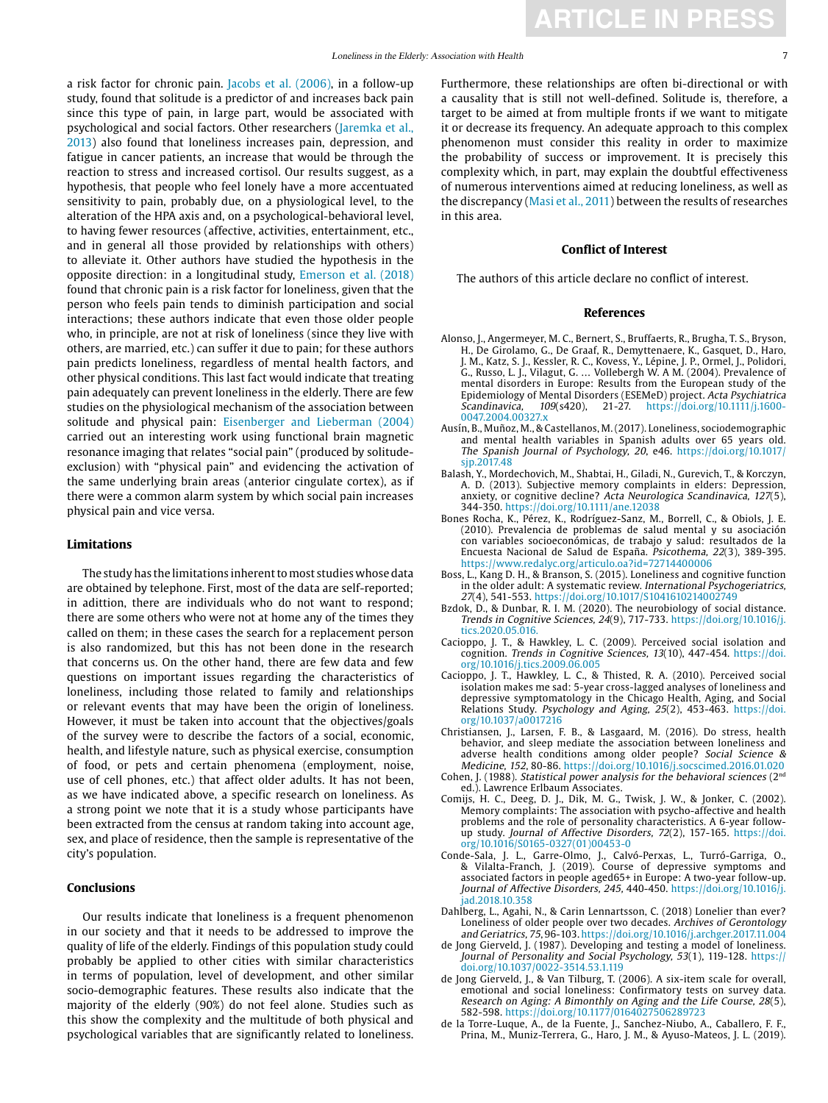a risk factor for chronic pain. Jacobs et al. (2006), in a follow-up study, found that solitude is a predictor of and increases back pain since this type of pain, in large part, would be associated with psychological and social factors. Other researchers (Jaremka et al., 2013) also found that loneliness increases pain, depression, and fatigue in cancer patients, an increase that would be through the reaction to stress and increased cortisol. Our results suggest, as a hypothesis, that people who feel lonely have a more accentuated sensitivity to pain, probably due, on a physiological level, to the alteration of the HPA axis and, on a psychological-behavioral level, to having fewer resources (affective, activities, entertainment, etc., and in general all those provided by relationships with others) to alleviate it. Other authors have studied the hypothesis in the opposite direction: in a longitudinal study, Emerson et al. (2018) found that chronic pain is a risk factor for loneliness, given that the person who feels pain tends to diminish participation and social interactions; these authors indicate that even those older people who, in principle, are not at risk of loneliness (since they live with others, are married, etc.) can suffer it due to pain; for these authors pain predicts loneliness, regardless of mental health factors, and other physical conditions. This last fact would indicate that treating pain adequately can prevent loneliness in the elderly. There are few studies on the physiological mechanism of the association between solitude and physical pain: Eisenberger and Lieberman (2004) carried out an interesting work using functional brain magnetic resonance imaging that relates "social pain" (produced by solitudeexclusion) with "physical pain" and evidencing the activation of the same underlying brain areas (anterior cingulate cortex), as if there were a common alarm system by which social pain increases physical pain and vice versa.

### **Limitations**

The study has the limitations inherent to most studies whose data are obtained by telephone. First, most of the data are self-reported; in adittion, there are individuals who do not want to respond; there are some others who were not at home any of the times they called on them; in these cases the search for a replacement person is also randomized, but this has not been done in the research that concerns us. On the other hand, there are few data and few questions on important issues regarding the characteristics of loneliness, including those related to family and relationships or relevant events that may have been the origin of loneliness. However, it must be taken into account that the objectives/goals of the survey were to describe the factors of a social, economic, health, and lifestyle nature, such as physical exercise, consumption of food, or pets and certain phenomena (employment, noise, use of cell phones, etc.) that affect older adults. It has not been, as we have indicated above, a specific research on loneliness. As a strong point we note that it is a study whose participants have been extracted from the census at random taking into account age, sex, and place of residence, then the sample is representative of the city's population.

### **Conclusions**

Our results indicate that loneliness is a frequent phenomenon in our society and that it needs to be addressed to improve the quality of life of the elderly. Findings of this population study could probably be applied to other cities with similar characteristics in terms of population, level of development, and other similar socio-demographic features. These results also indicate that the majority of the elderly (90%) do not feel alone. Studies such as this show the complexity and the multitude of both physical and psychological variables that are significantly related to loneliness.

Furthermore, these relationships are often bi-directional or with a causality that is still not well-defined. Solitude is, therefore, a target to be aimed at from multiple fronts if we want to mitigate it or decrease its frequency. An adequate approach to this complex phenomenon must consider this reality in order to maximize the probability of success or improvement. It is precisely this complexity which, in part, may explain the doubtful effectiveness of numerous interventions aimed at reducing loneliness, as well as the discrepancy (Masi et al., 2011) between the results of researches in this area.

### **Conflict of Interest**

The authors of this article declare no conflict of interest.

### **References**

- Alonso, J., Angermeyer, M. C., Bernert, S., Bruffaerts, R., Brugha, T. S., Bryson, H., De Girolamo, G., De Graaf, R., Demyttenaere, K., Gasquet, D., Haro, J. M., Katz, S. J., Kessler, R. C., Kovess, Y., Lépine, J. P., Ormel, J., Polidori, G., Russo, L. J., Vilagut, G. … Vollebergh W. A M. (2004). Prevalence of mental disorders in Europe: Results from the European study of the Epidemiology of Mental Disorders (ESEMeD) project. Acta Psychiatrica Scandinavica, 109(s420), 21-27. https://doi.org/10.1111/j.1600- 0047.2004.00327 x
- Ausín, B., Muñoz, M., & Castellanos, M. (2017). Loneliness, sociodemographic and mental health variables in Spanish adults over 65 years old. The Spanish Journal of Psychology, 20, e46. [https://doi.org/10.1017/](https://doi.org/10.1017/sjp.2017.48) [sjp.2017.48](https://doi.org/10.1017/sjp.2017.48)
- Balash, Y., Mordechovich, M., Shabtai, H., Giladi, N., Gurevich, T., & Korczyn, A. D. (2013). Subjective memory complaints in elders: Depression, anxiety, or cognitive decline? Acta Neurologica Scandinavica, 127(5), 344-350. https://doi.org/10.1111/ane.12038
- Bones Rocha, K., Pérez, K., Rodríguez-Sanz, M., Borrell, C., & Obiols, J. E. (2010). Prevalencia de problemas de salud mental y su asociación con variables socioeconómicas, de trabajo y salud: resultados de la Encuesta Nacional de Salud de España. Psicothema, 22(3), 389-395. https://www.redalyc.org/articulo.oa?id=72714400006
- Boss, L., Kang D. H., & Branson, S. (2015). Loneliness and cognitive function in the older adult: A systematic review. International Psychogeriatrics, 27(4), 541-553. <https://doi.org/10.1017/S1041610214002749>
- Bzdok, D., & Dunbar, R. I. M. (2020). The neurobiology of social distance. Trends in Cognitive Sciences, 24(9), 717-733. [https://doi.org/10.1016/j.](https://doi.org/10.1016/j.tics.2020.05.016) [tics.2020.05.016.](https://doi.org/10.1016/j.tics.2020.05.016)
- Cacioppo, J. T., & Hawkley, L. C. (2009). Perceived social isolation and cognition. Trends in Cognitive Sciences, 13(10), 447-454. [https://doi.](https://doi.org/10.1016/j.tics.2009.06.005) [org/10.1016/j.tics.2009.06.005](https://doi.org/10.1016/j.tics.2009.06.005)
- Cacioppo, J. T., Hawkley, L. C., & Thisted, R. A. (2010). Perceived social isolation makes me sad: 5-year cross-lagged analyses of loneliness and depressive symptomatology in the Chicago Health, Aging, and Social Relations Study. Psychology and Aging, 25(2), 453-463. [https://doi.](https://doi.org/10.1037/a0017216) [org/10.1037/a0017216](https://doi.org/10.1037/a0017216)
- Christiansen, J., Larsen, F. B., & Lasgaard, M. (2016). Do stress, health behavior, and sleep mediate the association between loneliness and adverse health conditions among older people? Social Science & Medicine, 152, 80-86. https://doi.org/10.1016/j.socscimed.2016.01.020
- Cohen, J. (1988). Statistical power analysis for the behavioral sciences ( $2<sup>nd</sup>$ ed.). Lawrence Erlbaum Associates.
- Comijs, H. C., Deeg, D. J., Dik, M. G., Twisk, J. W., & Jonker, C. (2002). Memory complaints: The association with psycho-affective and health problems and the role of personality characteristics. A 6-year followup study. Journal of Affective Disorders, 72(2), 157-165. [https://doi.](https://doi.org/10.1016/S0165-0327(01)00453-0) [org/10.1016/S0165-0327\(01\)00453-0](https://doi.org/10.1016/S0165-0327(01)00453-0)
- Conde-Sala, J. L., Garre-Olmo, J., Calvó-Perxas, L., Turró-Garriga, O., & Vilalta-Franch, J. (2019). Course of depressive symptoms and associated factors in people aged65+ in Europe: A two-year follow-up. Journal of Affective Disorders, 245, 440-450. [https://doi.org/10.1016/j.](https://doi.org/10.1016/j.jad.2018.10.358) [jad.2018.10.358](https://doi.org/10.1016/j.jad.2018.10.358)
- Dahlberg, L., Agahi, N., & Carin Lennartsson, C. (2018) Lonelier than ever? Loneliness of older people over two decades. Archives of Gerontology and Geriatrics, 75, 96-103. https://doi.org/10.1016/j.archger.2017.11.004
- de Jong Gierveld, J. (1987). Developing and testing a model of loneliness. Journal of Personality and Social Psychology, 53(1), 119-128. https:// doi.org/10.1037/0022-3514.53.1.119
- de Jong Gierveld, J., & Van Tilburg, T. (2006). A six-item scale for overall, emotional and social loneliness: Confirmatory tests on survey data. Research on Aging: A Bimonthly on Aging and the Life Course, 28(5), 582-598. https://doi.org/10.1177/0164027506289723
- de la Torre-Luque, A., de la Fuente, J., Sanchez-Niubo, A., Caballero, F. F., Prina, M., Muniz-Terrera, G., Haro, J. M., & Ayuso-Mateos, J. L. (2019).